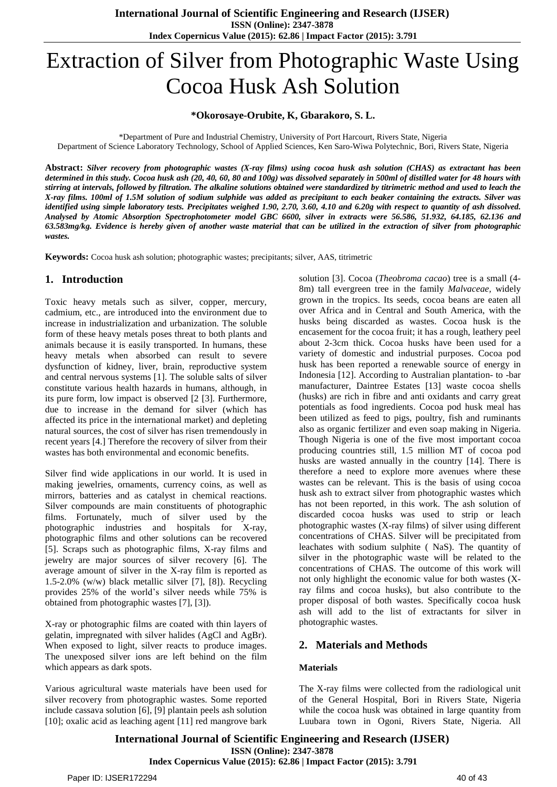# Extraction of Silver from Photographic Waste Using Cocoa Husk Ash Solution

#### **\*Okorosaye-Orubite, K, Gbarakoro, S. L.**

\*Department of Pure and Industrial Chemistry, University of Port Harcourt, Rivers State, Nigeria

Department of Science Laboratory Technology, School of Applied Sciences, Ken Saro-Wiwa Polytechnic, Bori, Rivers State, Nigeria

Abstract: Silver recovery from photographic wastes (X-ray films) using cocoa husk ash solution (CHAS) as extractant has been determined in this study. Cocoa husk ash (20, 40, 60, 80 and 100g) was dissolved separately in 500ml of distilled water for 48 hours with stirring at intervals, followed by filtration. The alkaline solutions obtained were standardized by titrimetric method and used to leach the X-ray films. 100ml of 1.5M solution of sodium sulphide was added as precipitant to each beaker containing the extracts. Silver was identified using simple laboratory tests. Precipitates weighed 1.90, 2.70, 3.60, 4.10 and 6.20g with respect to quantity of ash dissolved. Analysed by Atomic Absorption Spectrophotometer model GBC 6600, silver in extracts were 56.586, 51.932, 64.185, 62.136 and 63.583mg/kg. Evidence is hereby given of another waste material that can be utilized in the extraction of silver from photographic *wastes.*

**Keywords:** Cocoa husk ash solution; photographic wastes; precipitants; silver, AAS, titrimetric

## **1. Introduction**

Toxic heavy metals such as silver, copper, mercury, cadmium, etc., are introduced into the environment due to increase in industrialization and urbanization. The soluble form of these heavy metals poses threat to both plants and animals because it is easily transported. In humans, these heavy metals when absorbed can result to severe dysfunction of kidney, liver, brain, reproductive system and central nervous systems [1]. The soluble salts of silver constitute various health hazards in humans, although, in its pure form, low impact is observed [2 [3]. Furthermore, due to increase in the demand for silver (which has affected its price in the international market) and depleting natural sources, the cost of silver has risen tremendously in recent years [4.] Therefore the recovery of silver from their wastes has both environmental and economic benefits.

Silver find wide applications in our world. It is used in making jewelries, ornaments, currency coins, as well as mirrors, batteries and as catalyst in chemical reactions. Silver compounds are main constituents of photographic films. Fortunately, much of silver used by the photographic industries and hospitals for X-ray, photographic films and other solutions can be recovered [5]. Scraps such as photographic films, X-ray films and jewelry are major sources of silver recovery [6]. The average amount of silver in the X-ray film is reported as 1.5-2.0% (w/w) black metallic silver [7], [8]). Recycling provides 25% of the world's silver needs while 75% is obtained from photographic wastes [7], [3]).

X-ray or photographic films are coated with thin layers of gelatin, impregnated with silver halides (AgCl and AgBr). When exposed to light, silver reacts to produce images. The unexposed silver ions are left behind on the film which appears as dark spots.

Various agricultural waste materials have been used for silver recovery from photographic wastes. Some reported include cassava solution [6], [9] plantain peels ash solution [10]; oxalic acid as leaching agent [11] red mangrove bark

solution [3]. Cocoa (*Theobroma cacao*) tree is a small (4- 8m) tall evergreen tree in the family *Malvaceae,* widely grown in the tropics. Its seeds, cocoa beans are eaten all over Africa and in Central and South America, with the husks being discarded as wastes. Cocoa husk is the encasement for the cocoa fruit; it has a rough, leathery peel about 2-3cm thick. Cocoa husks have been used for a variety of domestic and industrial purposes. Cocoa pod husk has been reported a renewable source of energy in Indonesia [12]. According to Australian plantation- to -bar manufacturer, Daintree Estates [13] waste cocoa shells (husks) are rich in fibre and anti oxidants and carry great potentials as food ingredients. Cocoa pod husk meal has been utilized as feed to pigs, poultry, fish and ruminants also as organic fertilizer and even soap making in Nigeria. Though Nigeria is one of the five most important cocoa producing countries still, 1.5 million MT of cocoa pod husks are wasted annually in the country [14]. There is therefore a need to explore more avenues where these wastes can be relevant. This is the basis of using cocoa husk ash to extract silver from photographic wastes which has not been reported, in this work. The ash solution of discarded cocoa husks was used to strip or leach photographic wastes (X-ray films) of silver using different concentrations of CHAS. Silver will be precipitated from leachates with sodium sulphite ( NaS). The quantity of silver in the photographic waste will be related to the concentrations of CHAS. The outcome of this work will not only highlight the economic value for both wastes (Xray films and cocoa husks), but also contribute to the proper disposal of both wastes. Specifically cocoa husk ash will add to the list of extractants for silver in photographic wastes.

#### **2. Materials and Methods**

#### **Materials**

The X-ray films were collected from the radiological unit of the General Hospital, Bori in Rivers State, Nigeria while the cocoa husk was obtained in large quantity from Luubara town in Ogoni, Rivers State, Nigeria. All

**International Journal of Scientific Engineering and Research (IJSER) ISSN (Online): 2347-3878 Index Copernicus Value (2015): 62.86 | Impact Factor (2015): 3.791**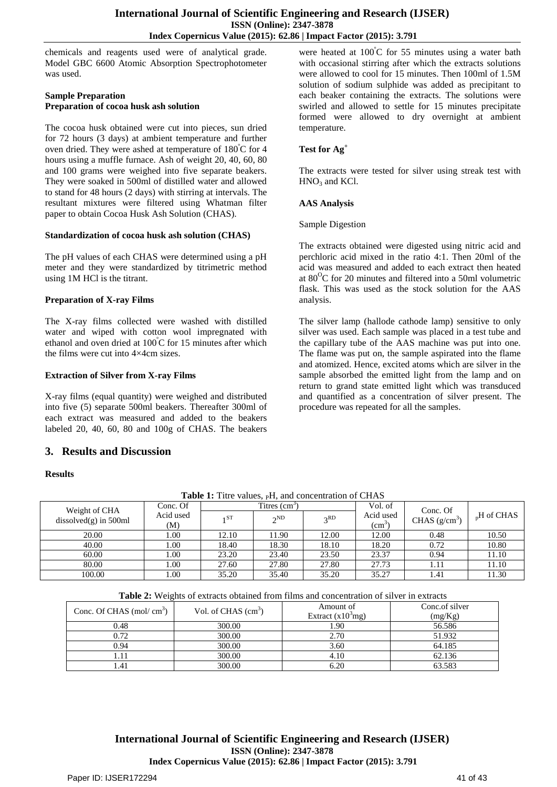chemicals and reagents used were of analytical grade. Model GBC 6600 Atomic Absorption Spectrophotometer was used.

#### **Sample Preparation Preparation of cocoa husk ash solution**

The cocoa husk obtained were cut into pieces, sun dried for 72 hours (3 days) at ambient temperature and further oven dried. They were ashed at temperature of 180<sup>º</sup>C for 4 hours using a muffle furnace. Ash of weight 20, 40, 60, 80 and 100 grams were weighed into five separate beakers. They were soaked in 500ml of distilled water and allowed to stand for 48 hours (2 days) with stirring at intervals. The resultant mixtures were filtered using Whatman filter paper to obtain Cocoa Husk Ash Solution (CHAS).

#### **Standardization of cocoa husk ash solution (CHAS)**

The pH values of each CHAS were determined using a pH meter and they were standardized by titrimetric method using 1M HCl is the titrant.

#### **Preparation of X-ray Films**

The X-ray films collected were washed with distilled water and wiped with cotton wool impregnated with ethanol and oven dried at 100<sup>º</sup>C for 15 minutes after which the films were cut into 4×4cm sizes.

#### **Extraction of Silver from X-ray Films**

X-ray films (equal quantity) were weighed and distributed into five (5) separate 500ml beakers. Thereafter 300ml of each extract was measured and added to the beakers labeled 20, 40, 60, 80 and 100g of CHAS. The beakers

# **3. Results and Discussion**

#### **Results**

were heated at  $100^{\circ}$ C for 55 minutes using a water bath with occasional stirring after which the extracts solutions were allowed to cool for 15 minutes. Then 100ml of 1.5M solution of sodium sulphide was added as precipitant to each beaker containing the extracts. The solutions were swirled and allowed to settle for 15 minutes precipitate formed were allowed to dry overnight at ambient temperature.

#### **Test for Ag<sup>+</sup>**

The extracts were tested for silver using streak test with  $HNO<sub>3</sub>$  and KCl.

#### **AAS Analysis**

#### Sample Digestion

The extracts obtained were digested using nitric acid and perchloric acid mixed in the ratio 4:1. Then 20ml of the acid was measured and added to each extract then heated at  $80^{\circ}$ C for 20 minutes and filtered into a 50ml volumetric flask. This was used as the stock solution for the AAS analysis.

The silver lamp (hallode cathode lamp) sensitive to only silver was used. Each sample was placed in a test tube and the capillary tube of the AAS machine was put into one. The flame was put on, the sample aspirated into the flame and atomized. Hence, excited atoms which are silver in the sample absorbed the emitted light from the lamp and on return to grand state emitted light which was transduced and quantified as a concentration of silver present. The procedure was repeated for all the samples.

| Weight of CHA<br>$dis solved(g)$ in 500ml | Conc. Of         | Titres $(cm3)$ |          |       | Vol. of                     | Conc. Of        |                       |
|-------------------------------------------|------------------|----------------|----------|-------|-----------------------------|-----------------|-----------------------|
|                                           | Acid used<br>(M) | 1ST            | $2^{ND}$ | 2RD   | Acid used<br>$\text{ (cm)}$ | CHAS $(g/cm^3)$ | $H_{\rm n}$ H of CHAS |
| 20.00                                     | 00.1             | 12.10          | 11.90    | 12.00 | 12.00                       | 0.48            | 10.50                 |
|                                           |                  |                |          |       |                             |                 |                       |
| 40.00                                     | 00.1             | 18.40          | 18.30    | 18.10 | 18.20                       | 0.72            | 10.80                 |
| 60.00                                     | 1.00             | 23.20          | 23.40    | 23.50 | 23.37                       | 0.94            | 11.10                 |
| 80.00                                     | 00.1             | 27.60          | 27.80    | 27.80 | 27.73                       | 1.11            | 11.10                 |
| 100.00                                    | 00.              | 35.20          | 35.40    | 35.20 | 35.27                       | 1.41            | 11.30                 |

**Table 1:** Titre values, <sub>P</sub>H, and concentration of CHAS

**Table 2:** Weights of extracts obtained from films and concentration of silver in extracts

| Conc. Of CHAS $(mol/cm3)$ | Vol. of CHAS $(cm3)$ | Amount of<br>Extract $(x10^3$ mg) | Conc.of silver<br>(mg/Kg) |
|---------------------------|----------------------|-----------------------------------|---------------------------|
| 0.48                      | 300.00               | 1.90                              | 56.586                    |
| 0.72                      | 300.00               | 2.70                              | 51.932                    |
| 0.94                      | 300.00               | 3.60                              | 64.185                    |
|                           | 300.00               | 4.10                              | 62.136                    |
| .41                       | 300.00               | 6.20                              | 63.583                    |

**International Journal of Scientific Engineering and Research (IJSER) ISSN (Online): 2347-3878 Index Copernicus Value (2015): 62.86 | Impact Factor (2015): 3.791**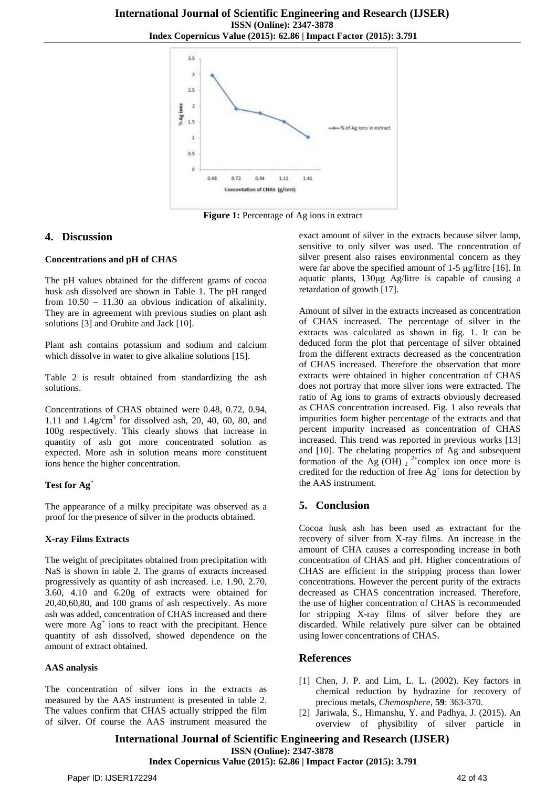

**Figure 1:** Percentage of Ag ions in extract

## **4. Discussion**

#### **Concentrations and pH of CHAS**

The pH values obtained for the different grams of cocoa husk ash dissolved are shown in Table 1. The pH ranged from 10.50 – 11.30 an obvious indication of alkalinity. They are in agreement with previous studies on plant ash solutions [3] and Orubite and Jack [10].

Plant ash contains potassium and sodium and calcium which dissolve in water to give alkaline solutions [15].

Table 2 is result obtained from standardizing the ash solutions.

Concentrations of CHAS obtained were 0.48, 0.72, 0.94, 1.11 and  $1.4$ g/cm<sup>3</sup> for dissolved ash, 20, 40, 60, 80, and 100g respectively. This clearly shows that increase in quantity of ash got more concentrated solution as expected. More ash in solution means more constituent ions hence the higher concentration.

#### **Test for Ag<sup>+</sup>**

The appearance of a milky precipitate was observed as a proof for the presence of silver in the products obtained.

#### **X-ray Films Extracts**

The weight of precipitates obtained from precipitation with NaS is shown in table 2. The grams of extracts increased progressively as quantity of ash increased. i.e. 1.90, 2.70, 3.60, 4.10 and 6.20g of extracts were obtained for 20,40,60,80, and 100 grams of ash respectively. As more ash was added, concentration of CHAS increased and there were more  $Ag<sup>+</sup>$  ions to react with the precipitant. Hence quantity of ash dissolved, showed dependence on the amount of extract obtained.

#### **AAS analysis**

The concentration of silver ions in the extracts as measured by the AAS instrument is presented in table 2. The values confirm that CHAS actually stripped the film of silver. Of course the AAS instrument measured the

exact amount of silver in the extracts because silver lamp, sensitive to only silver was used. The concentration of silver present also raises environmental concern as they were far above the specified amount of 1-5 μg/litre [16]. In aquatic plants, 130μg Ag/litre is capable of causing a retardation of growth [17].

Amount of silver in the extracts increased as concentration of CHAS increased. The percentage of silver in the extracts was calculated as shown in fig. 1. It can be deduced form the plot that percentage of silver obtained from the different extracts decreased as the concentration of CHAS increased. Therefore the observation that more extracts were obtained in higher concentration of CHAS does not portray that more silver ions were extracted. The ratio of Ag ions to grams of extracts obviously decreased as CHAS concentration increased. Fig. 1 also reveals that impurities form higher percentage of the extracts and that percent impurity increased as concentration of CHAS increased. This trend was reported in previous works [13] and [10]. The chelating properties of Ag and subsequent formation of the Ag (OH)  $_2$ <sup>2+</sup>complex ion once more is credited for the reduction of free  $Ag^+$  ions for detection by the AAS instrument.

# **5. Conclusion**

Cocoa husk ash has been used as extractant for the recovery of silver from X-ray films. An increase in the amount of CHA causes a corresponding increase in both concentration of CHAS and pH. Higher concentrations of CHAS are efficient in the stripping process than lower concentrations. However the percent purity of the extracts decreased as CHAS concentration increased. Therefore, the use of higher concentration of CHAS is recommended for stripping X-ray films of silver before they are discarded. While relatively pure silver can be obtained using lower concentrations of CHAS.

#### **References**

- [1] Chen, J. P. and Lim, L. L. (2002). Key factors in chemical reduction by hydrazine for recovery of precious metals, *Chemosphere,* **59**: 363-370.
- [2] Jariwala, S., Himanshu, Y. and Padhya, J. (2015). An overview of physibility of silver particle in

**International Journal of Scientific Engineering and Research (IJSER) ISSN (Online): 2347-3878**

# **Index Copernicus Value (2015): 62.86 | Impact Factor (2015): 3.791**